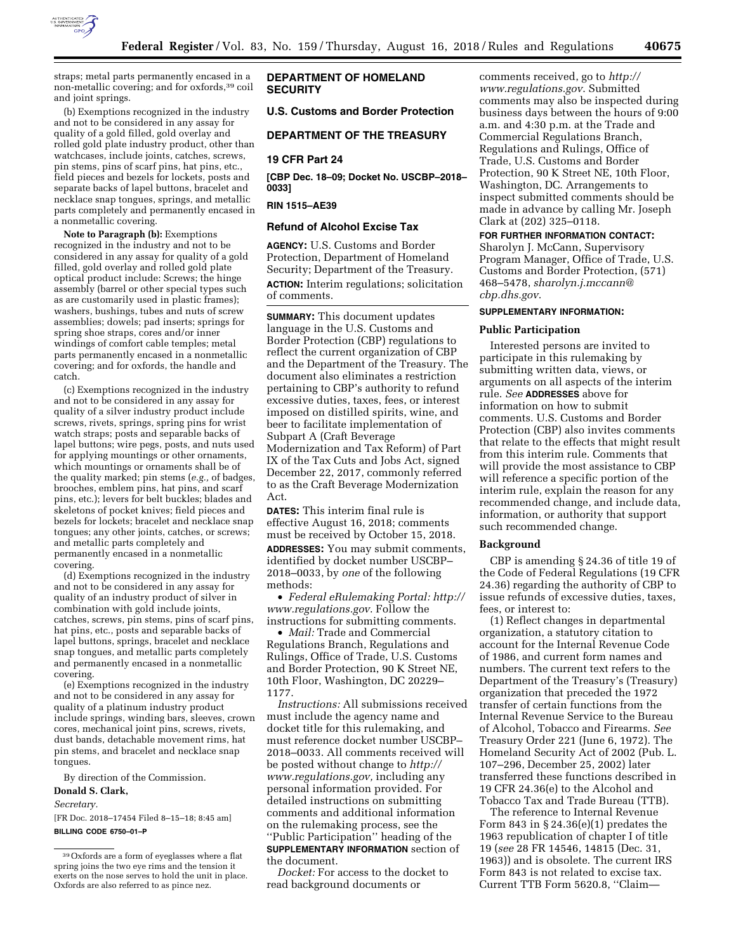

straps; metal parts permanently encased in a non-metallic covering; and for oxfords,39 coil and joint springs.

(b) Exemptions recognized in the industry and not to be considered in any assay for quality of a gold filled, gold overlay and rolled gold plate industry product, other than watchcases, include joints, catches, screws, pin stems, pins of scarf pins, hat pins, etc., field pieces and bezels for lockets, posts and separate backs of lapel buttons, bracelet and necklace snap tongues, springs, and metallic parts completely and permanently encased in a nonmetallic covering.

**Note to Paragraph (b):** Exemptions recognized in the industry and not to be considered in any assay for quality of a gold filled, gold overlay and rolled gold plate optical product include: Screws; the hinge assembly (barrel or other special types such as are customarily used in plastic frames); washers, bushings, tubes and nuts of screw assemblies; dowels; pad inserts; springs for spring shoe straps, cores and/or inner windings of comfort cable temples; metal parts permanently encased in a nonmetallic covering; and for oxfords, the handle and catch.

(c) Exemptions recognized in the industry and not to be considered in any assay for quality of a silver industry product include screws, rivets, springs, spring pins for wrist watch straps; posts and separable backs of lapel buttons; wire pegs, posts, and nuts used for applying mountings or other ornaments, which mountings or ornaments shall be of the quality marked; pin stems (*e.g.,* of badges, brooches, emblem pins, hat pins, and scarf pins, etc.); levers for belt buckles; blades and skeletons of pocket knives; field pieces and bezels for lockets; bracelet and necklace snap tongues; any other joints, catches, or screws; and metallic parts completely and permanently encased in a nonmetallic covering.

(d) Exemptions recognized in the industry and not to be considered in any assay for quality of an industry product of silver in combination with gold include joints, catches, screws, pin stems, pins of scarf pins, hat pins, etc., posts and separable backs of lapel buttons, springs, bracelet and necklace snap tongues, and metallic parts completely and permanently encased in a nonmetallic covering.

(e) Exemptions recognized in the industry and not to be considered in any assay for quality of a platinum industry product include springs, winding bars, sleeves, crown cores, mechanical joint pins, screws, rivets, dust bands, detachable movement rims, hat pin stems, and bracelet and necklace snap tongues.

By direction of the Commission.

#### **Donald S. Clark,**

*Secretary.* 

[FR Doc. 2018–17454 Filed 8–15–18; 8:45 am] **BILLING CODE 6750–01–P** 

## **DEPARTMENT OF HOMELAND SECURITY**

## **U.S. Customs and Border Protection**

#### **DEPARTMENT OF THE TREASURY**

## **19 CFR Part 24**

**[CBP Dec. 18–09; Docket No. USCBP–2018– 0033]** 

## **RIN 1515–AE39**

#### **Refund of Alcohol Excise Tax**

**AGENCY:** U.S. Customs and Border Protection, Department of Homeland Security; Department of the Treasury. **ACTION:** Interim regulations; solicitation of comments.

**SUMMARY:** This document updates language in the U.S. Customs and Border Protection (CBP) regulations to reflect the current organization of CBP and the Department of the Treasury. The document also eliminates a restriction pertaining to CBP's authority to refund excessive duties, taxes, fees, or interest imposed on distilled spirits, wine, and beer to facilitate implementation of Subpart A (Craft Beverage Modernization and Tax Reform) of Part IX of the Tax Cuts and Jobs Act, signed December 22, 2017, commonly referred to as the Craft Beverage Modernization Act.

**DATES:** This interim final rule is effective August 16, 2018; comments must be received by October 15, 2018.

**ADDRESSES:** You may submit comments, identified by docket number USCBP– 2018–0033, by *one* of the following methods:

• *Federal eRulemaking Portal: [http://](http://www.regulations.gov)  [www.regulations.gov](http://www.regulations.gov)*. Follow the instructions for submitting comments.

• *Mail:* Trade and Commercial Regulations Branch, Regulations and Rulings, Office of Trade, U.S. Customs and Border Protection, 90 K Street NE, 10th Floor, Washington, DC 20229– 1177.

*Instructions:* All submissions received must include the agency name and docket title for this rulemaking, and must reference docket number USCBP– 2018–0033. All comments received will be posted without change to *[http://](http://www.regulations.gov) [www.regulations.gov,](http://www.regulations.gov)* including any personal information provided. For detailed instructions on submitting comments and additional information on the rulemaking process, see the ''Public Participation'' heading of the **SUPPLEMENTARY INFORMATION** section of the document.

*Docket:* For access to the docket to read background documents or

comments received, go to *[http://](http://www.regulations.gov) [www.regulations.gov](http://www.regulations.gov)*. Submitted comments may also be inspected during business days between the hours of 9:00 a.m. and 4:30 p.m. at the Trade and Commercial Regulations Branch, Regulations and Rulings, Office of Trade, U.S. Customs and Border Protection, 90 K Street NE, 10th Floor, Washington, DC. Arrangements to inspect submitted comments should be made in advance by calling Mr. Joseph Clark at (202) 325–0118.

## **FOR FURTHER INFORMATION CONTACT:**

Sharolyn J. McCann, Supervisory Program Manager, Office of Trade, U.S. Customs and Border Protection, (571) 468–5478, *[sharolyn.j.mccann@](mailto:sharolyn.j.mccann@cbp.dhs.gov) [cbp.dhs.gov](mailto:sharolyn.j.mccann@cbp.dhs.gov)*.

## **SUPPLEMENTARY INFORMATION:**

#### **Public Participation**

Interested persons are invited to participate in this rulemaking by submitting written data, views, or arguments on all aspects of the interim rule. *See* **ADDRESSES** above for information on how to submit comments. U.S. Customs and Border Protection (CBP) also invites comments that relate to the effects that might result from this interim rule. Comments that will provide the most assistance to CBP will reference a specific portion of the interim rule, explain the reason for any recommended change, and include data, information, or authority that support such recommended change.

#### **Background**

CBP is amending § 24.36 of title 19 of the Code of Federal Regulations (19 CFR 24.36) regarding the authority of CBP to issue refunds of excessive duties, taxes, fees, or interest to:

(1) Reflect changes in departmental organization, a statutory citation to account for the Internal Revenue Code of 1986, and current form names and numbers. The current text refers to the Department of the Treasury's (Treasury) organization that preceded the 1972 transfer of certain functions from the Internal Revenue Service to the Bureau of Alcohol, Tobacco and Firearms. *See*  Treasury Order 221 (June 6, 1972). The Homeland Security Act of 2002 (Pub. L. 107–296, December 25, 2002) later transferred these functions described in 19 CFR 24.36(e) to the Alcohol and Tobacco Tax and Trade Bureau (TTB).

The reference to Internal Revenue Form 843 in  $\S 24.36(e)(1)$  predates the 1963 republication of chapter I of title 19 (*see* 28 FR 14546, 14815 (Dec. 31, 1963)) and is obsolete. The current IRS Form 843 is not related to excise tax. Current TTB Form 5620.8, ''Claim—

<sup>39</sup>Oxfords are a form of eyeglasses where a flat spring joins the two eye rims and the tension it exerts on the nose serves to hold the unit in place. Oxfords are also referred to as pince nez.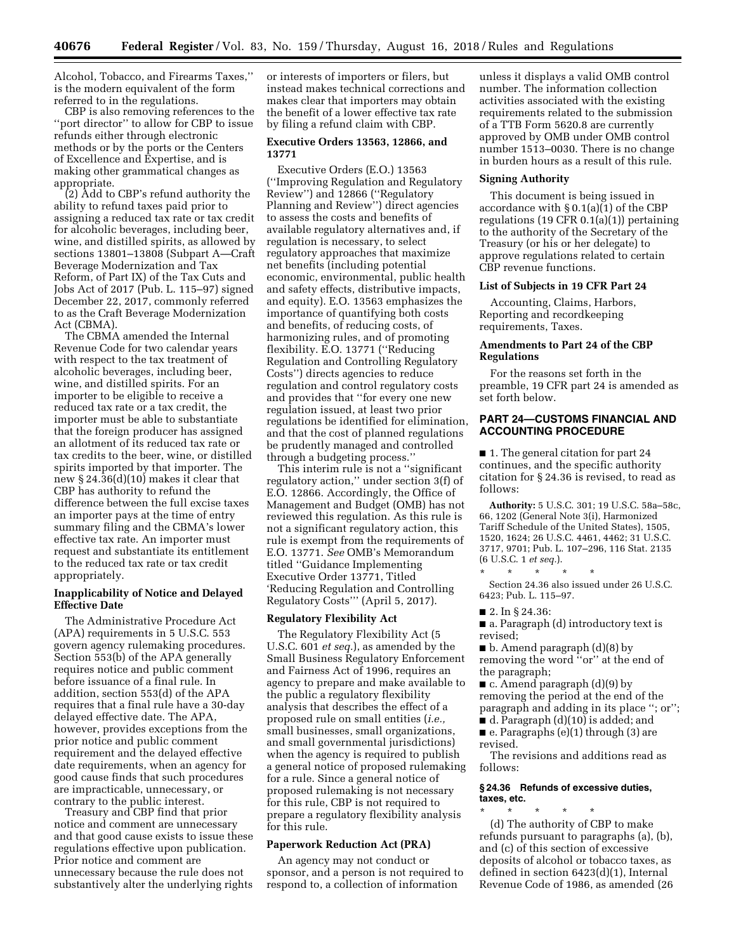Alcohol, Tobacco, and Firearms Taxes,'' is the modern equivalent of the form referred to in the regulations.

CBP is also removing references to the ''port director'' to allow for CBP to issue refunds either through electronic methods or by the ports or the Centers of Excellence and Expertise, and is making other grammatical changes as appropriate.

(2) Add to CBP's refund authority the ability to refund taxes paid prior to assigning a reduced tax rate or tax credit for alcoholic beverages, including beer, wine, and distilled spirits, as allowed by sections 13801–13808 (Subpart A—Craft Beverage Modernization and Tax Reform, of Part IX) of the Tax Cuts and Jobs Act of 2017 (Pub. L. 115–97) signed December 22, 2017, commonly referred to as the Craft Beverage Modernization Act (CBMA).

The CBMA amended the Internal Revenue Code for two calendar years with respect to the tax treatment of alcoholic beverages, including beer, wine, and distilled spirits. For an importer to be eligible to receive a reduced tax rate or a tax credit, the importer must be able to substantiate that the foreign producer has assigned an allotment of its reduced tax rate or tax credits to the beer, wine, or distilled spirits imported by that importer. The new § 24.36(d)(10) makes it clear that CBP has authority to refund the difference between the full excise taxes an importer pays at the time of entry summary filing and the CBMA's lower effective tax rate. An importer must request and substantiate its entitlement to the reduced tax rate or tax credit appropriately.

#### **Inapplicability of Notice and Delayed Effective Date**

The Administrative Procedure Act (APA) requirements in 5 U.S.C. 553 govern agency rulemaking procedures. Section 553(b) of the APA generally requires notice and public comment before issuance of a final rule. In addition, section 553(d) of the APA requires that a final rule have a 30-day delayed effective date. The APA, however, provides exceptions from the prior notice and public comment requirement and the delayed effective date requirements, when an agency for good cause finds that such procedures are impracticable, unnecessary, or contrary to the public interest.

Treasury and CBP find that prior notice and comment are unnecessary and that good cause exists to issue these regulations effective upon publication. Prior notice and comment are unnecessary because the rule does not substantively alter the underlying rights

or interests of importers or filers, but instead makes technical corrections and makes clear that importers may obtain the benefit of a lower effective tax rate by filing a refund claim with CBP.

#### **Executive Orders 13563, 12866, and 13771**

Executive Orders (E.O.) 13563 (''Improving Regulation and Regulatory Review'') and 12866 (''Regulatory Planning and Review'') direct agencies to assess the costs and benefits of available regulatory alternatives and, if regulation is necessary, to select regulatory approaches that maximize net benefits (including potential economic, environmental, public health and safety effects, distributive impacts, and equity). E.O. 13563 emphasizes the importance of quantifying both costs and benefits, of reducing costs, of harmonizing rules, and of promoting flexibility. E.O. 13771 (''Reducing Regulation and Controlling Regulatory Costs'') directs agencies to reduce regulation and control regulatory costs and provides that ''for every one new regulation issued, at least two prior regulations be identified for elimination, and that the cost of planned regulations be prudently managed and controlled through a budgeting process.''

This interim rule is not a ''significant regulatory action,'' under section 3(f) of E.O. 12866. Accordingly, the Office of Management and Budget (OMB) has not reviewed this regulation. As this rule is not a significant regulatory action, this rule is exempt from the requirements of E.O. 13771. *See* OMB's Memorandum titled ''Guidance Implementing Executive Order 13771, Titled 'Reducing Regulation and Controlling Regulatory Costs''' (April 5, 2017).

#### **Regulatory Flexibility Act**

The Regulatory Flexibility Act (5 U.S.C. 601 *et seq.*), as amended by the Small Business Regulatory Enforcement and Fairness Act of 1996, requires an agency to prepare and make available to the public a regulatory flexibility analysis that describes the effect of a proposed rule on small entities (*i.e.,*  small businesses, small organizations, and small governmental jurisdictions) when the agency is required to publish a general notice of proposed rulemaking for a rule. Since a general notice of proposed rulemaking is not necessary for this rule, CBP is not required to prepare a regulatory flexibility analysis for this rule.

#### **Paperwork Reduction Act (PRA)**

An agency may not conduct or sponsor, and a person is not required to respond to, a collection of information

unless it displays a valid OMB control number. The information collection activities associated with the existing requirements related to the submission of a TTB Form 5620.8 are currently approved by OMB under OMB control number 1513–0030. There is no change in burden hours as a result of this rule.

#### **Signing Authority**

This document is being issued in accordance with § 0.1(a)(1) of the CBP regulations (19 CFR 0.1(a)(1)) pertaining to the authority of the Secretary of the Treasury (or his or her delegate) to approve regulations related to certain CBP revenue functions.

#### **List of Subjects in 19 CFR Part 24**

Accounting, Claims, Harbors, Reporting and recordkeeping requirements, Taxes.

## **Amendments to Part 24 of the CBP Regulations**

For the reasons set forth in the preamble, 19 CFR part 24 is amended as set forth below.

## **PART 24—CUSTOMS FINANCIAL AND ACCOUNTING PROCEDURE**

■ 1. The general citation for part 24 continues, and the specific authority citation for § 24.36 is revised, to read as follows:

**Authority:** 5 U.S.C. 301; 19 U.S.C. 58a–58c, 66, 1202 (General Note 3(i), Harmonized Tariff Schedule of the United States), 1505, 1520, 1624; 26 U.S.C. 4461, 4462; 31 U.S.C. 3717, 9701; Pub. L. 107–296, 116 Stat. 2135 (6 U.S.C. 1 *et seq.*).

\* \* \* \* \*

Section 24.36 also issued under 26 U.S.C. 6423; Pub. L. 115–97.

■ 2. In § 24.36:

■ a. Paragraph (d) introductory text is revised;

■ b. Amend paragraph (d)(8) by removing the word ''or'' at the end of the paragraph;

■ c. Amend paragraph (d)(9) by removing the period at the end of the paragraph and adding in its place ''; or'';

■ d. Paragraph (d)(10) is added; and ■ e. Paragraphs (e)(1) through (3) are

revised.

The revisions and additions read as follows:

#### **§ 24.36 Refunds of excessive duties, taxes, etc.**

\* \* \* \* \* (d) The authority of CBP to make refunds pursuant to paragraphs (a), (b), and (c) of this section of excessive deposits of alcohol or tobacco taxes, as defined in section 6423(d)(1), Internal Revenue Code of 1986, as amended (26